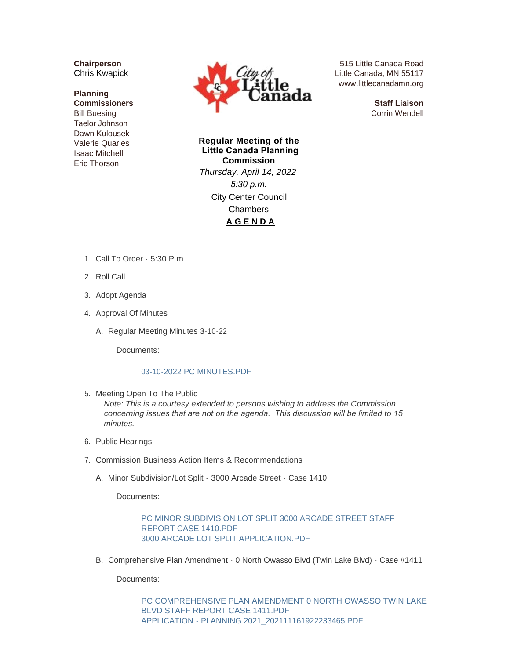**Chairperson** Chris Kwapick

## **Planning Commissioners** Bill Buesing Taelor Johnson Dawn Kulousek Valerie Quarles Isaac Mitchell Eric Thorson



515 Little Canada Road Little Canada, MN 55117 www.littlecanadamn.org

> **Staff Liaison** Corrin Wendell

**Regular Meeting of the Little Canada Planning Commission** *Thursday, April 14, 2022 5:30 p.m.* City Center Council Chambers **A G E N D A**

- 1. Call To Order 5:30 P.m.
- 2. Roll Call
- 3. Adopt Agenda
- 4. Approval Of Minutes
	- A. Regular Meeting Minutes 3-10-22

Documents:

## [03-10-2022 PC MINUTES.PDF](http://www.littlecanadamn.org/AgendaCenter/ViewFile/Item/3902?fileID=3646)

5. Meeting Open To The Public

*Note: This is a courtesy extended to persons wishing to address the Commission concerning issues that are not on the agenda. This discussion will be limited to 15 minutes.*

- 6. Public Hearings
- 7. Commission Business Action Items & Recommendations
	- A. Minor Subdivision/Lot Split 3000 Arcade Street Case 1410

Documents:

PC MINOR SUBDIVISION LOT SPLIT 3000 ARCADE STREET STAFF REPORT CASE 1410.PDF [3000 ARCADE LOT SPLIT APPLICATION.PDF](http://www.littlecanadamn.org/AgendaCenter/ViewFile/Item/3904?fileID=3648)

B. Comprehensive Plan Amendment - 0 North Owasso Blvd (Twin Lake Blvd) - Case #1411

Documents:

[PC COMPREHENSIVE PLAN AMENDMENT 0 NORTH OWASSO TWIN LAKE](http://www.littlecanadamn.org/AgendaCenter/ViewFile/Item/3905?fileID=3649)  BLVD STAFF REPORT CASE 1411.PDF [APPLICATION - PLANNING 2021\\_202111161922233465.PDF](http://www.littlecanadamn.org/AgendaCenter/ViewFile/Item/3905?fileID=3650)